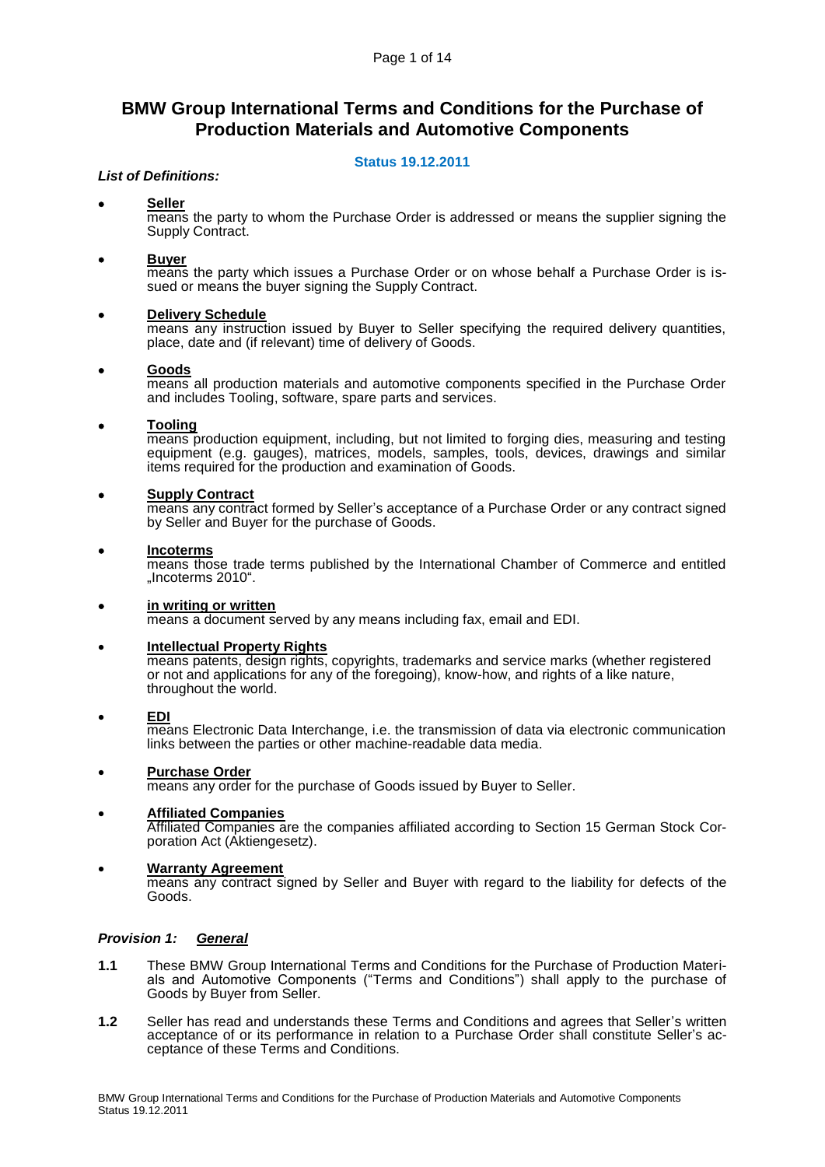# **BMW Group International Terms and Conditions for the Purchase of Production Materials and Automotive Components**

# **Status 19.12.2011**

# *List of Definitions:*

### **Seller**

means the party to whom the Purchase Order is addressed or means the supplier signing the Supply Contract.

#### **Buyer**

means the party which issues a Purchase Order or on whose behalf a Purchase Order is issued or means the buyer signing the Supply Contract.

### **Delivery Schedule**

means any instruction issued by Buyer to Seller specifying the required delivery quantities, place, date and (if relevant) time of delivery of Goods.

### **Goods**

means all production materials and automotive components specified in the Purchase Order and includes Tooling, software, spare parts and services.

### **Tooling**

means production equipment, including, but not limited to forging dies, measuring and testing equipment (e.g. gauges), matrices, models, samples, tools, devices, drawings and similar items required for the production and examination of Goods.

### **Supply Contract**

means any contract formed by Seller's acceptance of a Purchase Order or any contract signed by Seller and Buyer for the purchase of Goods.

#### **Incoterms**

means those trade terms published by the International Chamber of Commerce and entitled "Incoterms 2010".

#### **in writing or written**

means a document served by any means including fax, email and EDI.

## **Intellectual Property Rights**

means patents, design rights, copyrights, trademarks and service marks (whether registered or not and applications for any of the foregoing), know-how, and rights of a like nature, throughout the world.

#### **EDI**

means Electronic Data Interchange, i.e. the transmission of data via electronic communication links between the parties or other machine-readable data media.

#### **Purchase Order**

means any order for the purchase of Goods issued by Buyer to Seller.

# **Affiliated Companies**

Affiliated Companies are the companies affiliated according to Section 15 German Stock Corporation Act (Aktiengesetz).

#### **Warranty Agreement**

means any contract signed by Seller and Buyer with regard to the liability for defects of the Goods.

# *Provision 1: General*

- **1.1** These BMW Group International Terms and Conditions for the Purchase of Production Materials and Automotive Components ("Terms and Conditions") shall apply to the purchase of Goods by Buyer from Seller.
- **1.2** Seller has read and understands these Terms and Conditions and agrees that Seller's written acceptance of or its performance in relation to a Purchase Order shall constitute Seller's acceptance of these Terms and Conditions.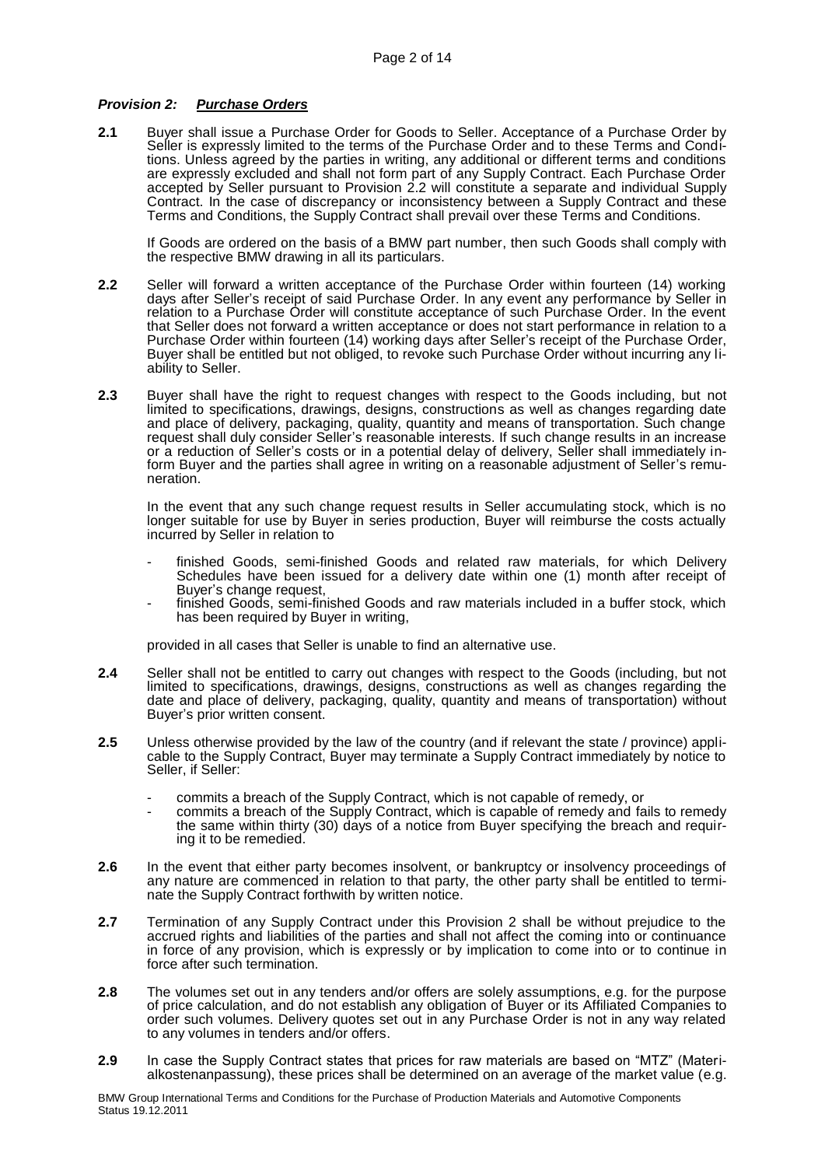#### *Provision 2: Purchase Orders*

**2.1** Buyer shall issue a Purchase Order for Goods to Seller. Acceptance of a Purchase Order by Seller is expressly limited to the terms of the Purchase Order and to these Terms and Conditions. Unless agreed by the parties in writing, any additional or different terms and conditions are expressly excluded and shall not form part of any Supply Contract. Each Purchase Order accepted by Seller pursuant to Provision 2.2 will constitute a separate and individual Supply Contract. In the case of discrepancy or inconsistency between a Supply Contract and these Terms and Conditions, the Supply Contract shall prevail over these Terms and Conditions.

If Goods are ordered on the basis of a BMW part number, then such Goods shall comply with the respective BMW drawing in all its particulars.

- **2.2** Seller will forward a written acceptance of the Purchase Order within fourteen (14) working days after Seller's receipt of said Purchase Order. In any event any performance by Seller in relation to a Purchase Order will constitute acceptance of such Purchase Order. In the event that Seller does not forward a written acceptance or does not start performance in relation to a Purchase Order within fourteen (14) working days after Seller's receipt of the Purchase Order, Buyer shall be entitled but not obliged, to revoke such Purchase Order without incurring any liability to Seller.
- **2.3** Buyer shall have the right to request changes with respect to the Goods including, but not limited to specifications, drawings, designs, constructions as well as changes regarding date and place of delivery, packaging, quality, quantity and means of transportation. Such change request shall duly consider Seller's reasonable interests. If such change results in an increase or a reduction of Seller's costs or in a potential delay of delivery, Seller shall immediately inform Buyer and the parties shall agree in writing on a reasonable adjustment of Seller's remuneration.

In the event that any such change request results in Seller accumulating stock, which is no longer suitable for use by Buyer in series production, Buyer will reimburse the costs actually incurred by Seller in relation to

- finished Goods, semi-finished Goods and related raw materials, for which Delivery Schedules have been issued for a delivery date within one (1) month after receipt of Buyer's change request,
- finished Goods, semi-finished Goods and raw materials included in a buffer stock, which has been required by Buyer in writing,

provided in all cases that Seller is unable to find an alternative use.

- **2.4** Seller shall not be entitled to carry out changes with respect to the Goods (including, but not limited to specifications, drawings, designs, constructions as well as changes regarding the date and place of delivery, packaging, quality, quantity and means of transportation) without Buyer's prior written consent.
- **2.5** Unless otherwise provided by the law of the country (and if relevant the state / province) applicable to the Supply Contract, Buyer may terminate a Supply Contract immediately by notice to Seller, if Seller:
	- commits a breach of the Supply Contract, which is not capable of remedy, or
	- commits a breach of the Supply Contract, which is capable of remedy and fails to remedy the same within thirty (30) days of a notice from Buyer specifying the breach and requiring it to be remedied.
- **2.6** In the event that either party becomes insolvent, or bankruptcy or insolvency proceedings of any nature are commenced in relation to that party, the other party shall be entitled to terminate the Supply Contract forthwith by written notice.
- 2.7 Termination of any Supply Contract under this Provision 2 shall be without preiudice to the accrued rights and liabilities of the parties and shall not affect the coming into or continuance in force of any provision, which is expressly or by implication to come into or to continue in force after such termination.
- **2.8** The volumes set out in any tenders and/or offers are solely assumptions, e.g. for the purpose of price calculation, and do not establish any obligation of Buyer or its Affiliated Companies to order such volumes. Delivery quotes set out in any Purchase Order is not in any way related to any volumes in tenders and/or offers.
- **2.9** In case the Supply Contract states that prices for raw materials are based on "MTZ" (Materialkostenanpassung), these prices shall be determined on an average of the market value (e.g.

BMW Group International Terms and Conditions for the Purchase of Production Materials and Automotive Components Status 19.12.2011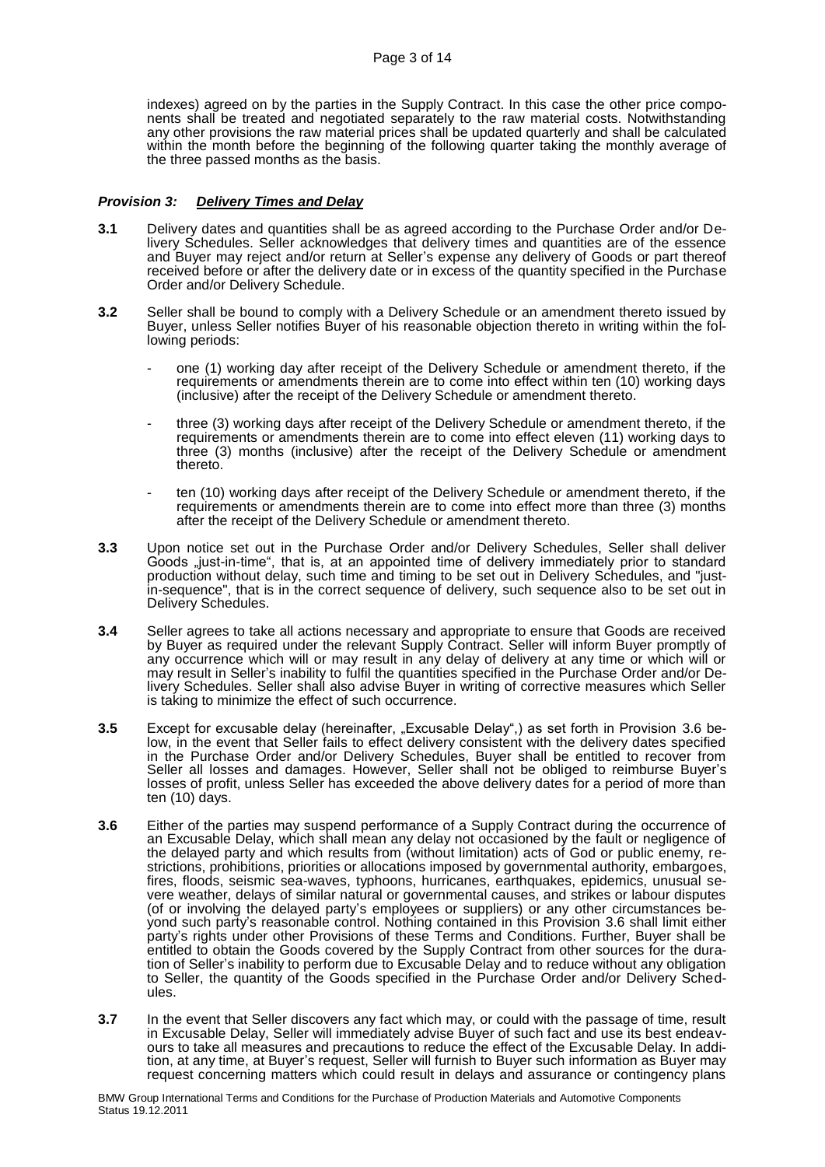indexes) agreed on by the parties in the Supply Contract. In this case the other price components shall be treated and negotiated separately to the raw material costs. Notwithstanding any other provisions the raw material prices shall be updated quarterly and shall be calculated within the month before the beginning of the following quarter taking the monthly average of the three passed months as the basis.

#### *Provision 3: Delivery Times and Delay*

- **3.1** Delivery dates and quantities shall be as agreed according to the Purchase Order and/or Delivery Schedules. Seller acknowledges that delivery times and quantities are of the essence and Buyer may reject and/or return at Seller's expense any delivery of Goods or part thereof received before or after the delivery date or in excess of the quantity specified in the Purchase Order and/or Delivery Schedule.
- **3.2** Seller shall be bound to comply with a Delivery Schedule or an amendment thereto issued by Buyer, unless Seller notifies Buyer of his reasonable objection thereto in writing within the following periods:
	- one (1) working day after receipt of the Delivery Schedule or amendment thereto, if the requirements or amendments therein are to come into effect within ten (10) working days (inclusive) after the receipt of the Delivery Schedule or amendment thereto.
	- three (3) working days after receipt of the Delivery Schedule or amendment thereto, if the requirements or amendments therein are to come into effect eleven (11) working days to three (3) months (inclusive) after the receipt of the Delivery Schedule or amendment thereto.
	- ten (10) working days after receipt of the Delivery Schedule or amendment thereto, if the requirements or amendments therein are to come into effect more than three (3) months after the receipt of the Delivery Schedule or amendment thereto.
- **3.3** Upon notice set out in the Purchase Order and/or Delivery Schedules, Seller shall deliver Goods "just-in-time", that is, at an appointed time of delivery immediately prior to standard production without delay, such time and timing to be set out in Delivery Schedules, and "justin-sequence", that is in the correct sequence of delivery, such sequence also to be set out in Delivery Schedules.
- **3.4** Seller agrees to take all actions necessary and appropriate to ensure that Goods are received by Buyer as required under the relevant Supply Contract. Seller will inform Buyer promptly of any occurrence which will or may result in any delay of delivery at any time or which will or may result in Seller's inability to fulfil the quantities specified in the Purchase Order and/or Delivery Schedules. Seller shall also advise Buyer in writing of corrective measures which Seller is taking to minimize the effect of such occurrence.
- **3.5** Except for excusable delay (hereinafter, "Excusable Delay",) as set forth in Provision 3.6 below, in the event that Seller fails to effect delivery consistent with the delivery dates specified in the Purchase Order and/or Delivery Schedules, Buyer shall be entitled to recover from Seller all losses and damages. However, Seller shall not be obliged to reimburse Buyer's losses of profit, unless Seller has exceeded the above delivery dates for a period of more than ten (10) days.
- **3.6** Either of the parties may suspend performance of a Supply Contract during the occurrence of an Excusable Delay, which shall mean any delay not occasioned by the fault or negligence of the delayed party and which results from (without limitation) acts of God or public enemy, restrictions, prohibitions, priorities or allocations imposed by governmental authority, embargoes, fires, floods, seismic sea-waves, typhoons, hurricanes, earthquakes, epidemics, unusual severe weather, delays of similar natural or governmental causes, and strikes or labour disputes (of or involving the delayed party's employees or suppliers) or any other circumstances beyond such party's reasonable control. Nothing contained in this Provision 3.6 shall limit either party's rights under other Provisions of these Terms and Conditions. Further, Buyer shall be entitled to obtain the Goods covered by the Supply Contract from other sources for the duration of Seller's inability to perform due to Excusable Delay and to reduce without any obligation to Seller, the quantity of the Goods specified in the Purchase Order and/or Delivery Schedules.
- **3.7** In the event that Seller discovers any fact which may, or could with the passage of time, result in Excusable Delay, Seller will immediately advise Buyer of such fact and use its best endeavours to take all measures and precautions to reduce the effect of the Excusable Delay. In addition, at any time, at Buyer's request, Seller will furnish to Buyer such information as Buyer may request concerning matters which could result in delays and assurance or contingency plans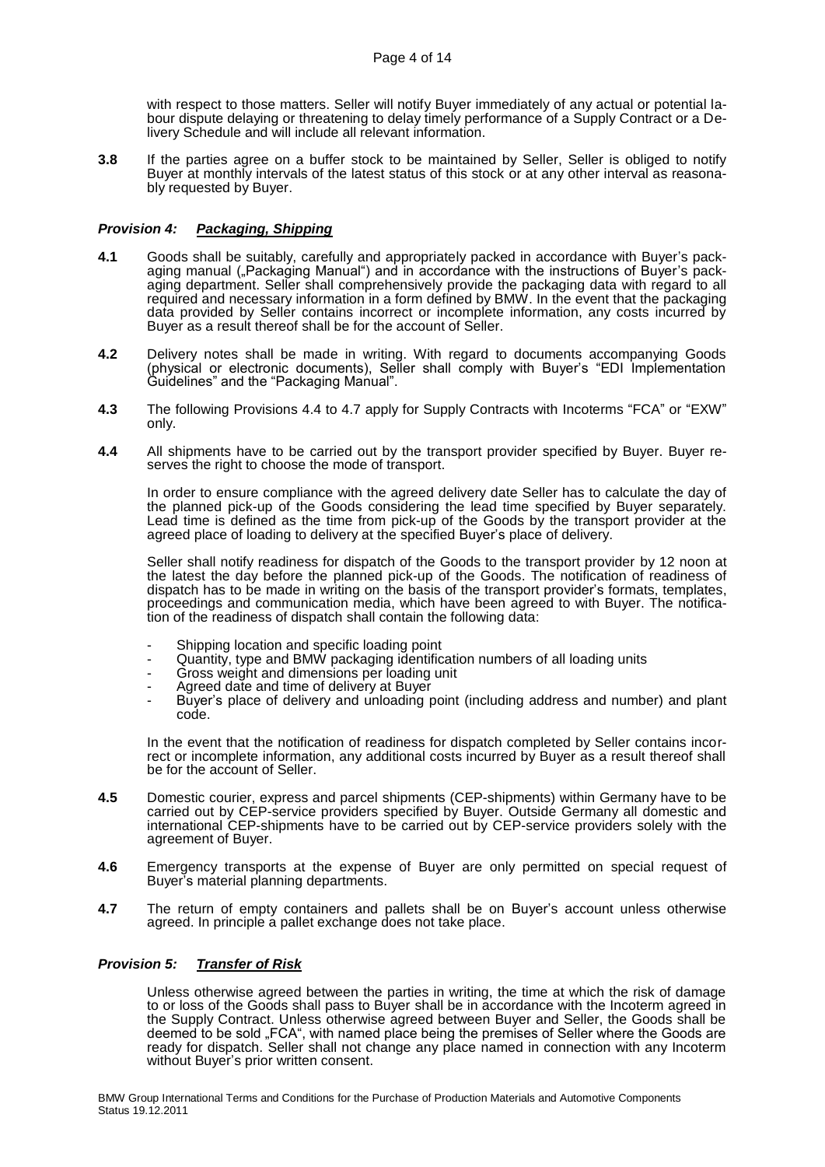with respect to those matters. Seller will notify Buyer immediately of any actual or potential labour dispute delaying or threatening to delay timely performance of a Supply Contract or a Delivery Schedule and will include all relevant information.

**3.8** If the parties agree on a buffer stock to be maintained by Seller, Seller is obliged to notify Buyer at monthly intervals of the latest status of this stock or at any other interval as reasonably requested by Buyer.

# *Provision 4: Packaging, Shipping*

- **4.1** Goods shall be suitably, carefully and appropriately packed in accordance with Buyer's packaging manual ("Packaging Manual") and in accordance with the instructions of Buyer's packaging department. Seller shall comprehensively provide the packaging data with regard to all required and necessary information in a form defined by BMW. In the event that the packaging data provided by Seller contains incorrect or incomplete information, any costs incurred by Buyer as a result thereof shall be for the account of Seller.
- **4.2** Delivery notes shall be made in writing. With regard to documents accompanying Goods (physical or electronic documents), Seller shall comply with Buyer's "EDI Implementation Guidelines" and the "Packaging Manual".
- **4.3** The following Provisions 4.4 to 4.7 apply for Supply Contracts with Incoterms "FCA" or "EXW" only.
- **4.4** All shipments have to be carried out by the transport provider specified by Buyer. Buyer reserves the right to choose the mode of transport.

In order to ensure compliance with the agreed delivery date Seller has to calculate the day of the planned pick-up of the Goods considering the lead time specified by Buyer separately. Lead time is defined as the time from pick-up of the Goods by the transport provider at the agreed place of loading to delivery at the specified Buyer's place of delivery.

Seller shall notify readiness for dispatch of the Goods to the transport provider by 12 noon at the latest the day before the planned pick-up of the Goods. The notification of readiness of dispatch has to be made in writing on the basis of the transport provider's formats, templates, proceedings and communication media, which have been agreed to with Buyer. The notification of the readiness of dispatch shall contain the following data:

- Shipping location and specific loading point
- Quantity, type and BMW packaging identification numbers of all loading units
- Gross weight and dimensions per loading unit
- Agreed date and time of delivery at Buyer
- Buyer's place of delivery and unloading point (including address and number) and plant code.

In the event that the notification of readiness for dispatch completed by Seller contains incorrect or incomplete information, any additional costs incurred by Buyer as a result thereof shall be for the account of Seller.

- **4.5** Domestic courier, express and parcel shipments (CEP-shipments) within Germany have to be carried out by CEP-service providers specified by Buyer. Outside Germany all domestic and international CEP-shipments have to be carried out by CEP-service providers solely with the agreement of Buyer.
- **4.6** Emergency transports at the expense of Buyer are only permitted on special request of Buyer's material planning departments.
- **4.7** The return of empty containers and pallets shall be on Buyer's account unless otherwise agreed. In principle a pallet exchange does not take place.

#### *Provision 5: Transfer of Risk*

Unless otherwise agreed between the parties in writing, the time at which the risk of damage to or loss of the Goods shall pass to Buyer shall be in accordance with the Incoterm agreed in the Supply Contract. Unless otherwise agreed between Buyer and Seller, the Goods shall be deemed to be sold "FCA", with named place being the premises of Seller where the Goods are ready for dispatch. Seller shall not change any place named in connection with any Incoterm without Buyer's prior written consent.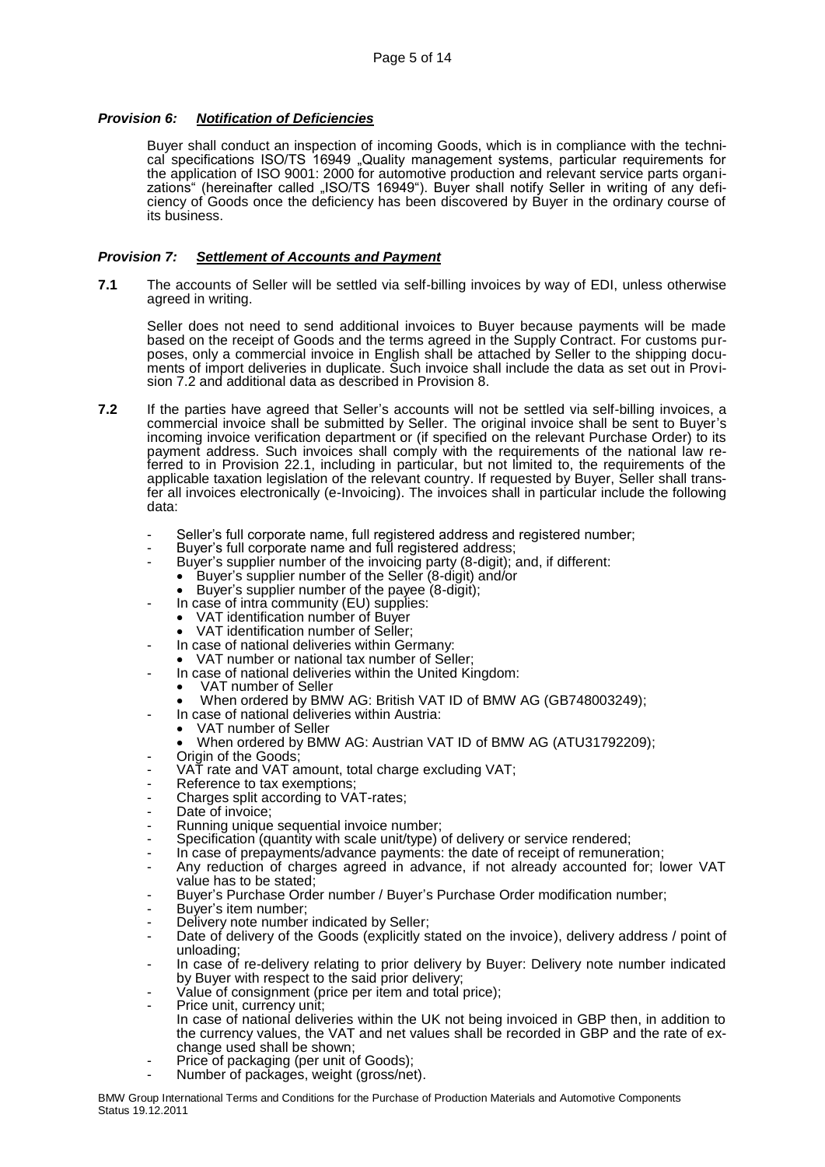# *Provision 6: Notification of Deficiencies*

Buyer shall conduct an inspection of incoming Goods, which is in compliance with the technical specifications ISO/TS 16949 "Quality management systems, particular requirements for the application of ISO 9001: 2000 for automotive production and relevant service parts organizations" (hereinafter called "ISO/TS 16949"). Buyer shall notify Seller in writing of any deficiency of Goods once the deficiency has been discovered by Buyer in the ordinary course of its business.

# *Provision 7: Settlement of Accounts and Payment*

**7.1** The accounts of Seller will be settled via self-billing invoices by way of EDI, unless otherwise agreed in writing.

Seller does not need to send additional invoices to Buyer because payments will be made based on the receipt of Goods and the terms agreed in the Supply Contract. For customs purposes, only a commercial invoice in English shall be attached by Seller to the shipping documents of import deliveries in duplicate. Such invoice shall include the data as set out in Provision 7.2 and additional data as described in Provision 8.

- **7.2** If the parties have agreed that Seller's accounts will not be settled via self-billing invoices, a commercial invoice shall be submitted by Seller. The original invoice shall be sent to Buyer's incoming invoice verification department or (if specified on the relevant Purchase Order) to its payment address. Such invoices shall comply with the requirements of the national law referred to in Provision 22.1, including in particular, but not limited to, the requirements of the applicable taxation legislation of the relevant country. If requested by Buyer, Seller shall transfer all invoices electronically (e-Invoicing). The invoices shall in particular include the following data:
	- Seller's full corporate name, full registered address and registered number;
	- Buyer's full corporate name and full registered address;
	- Buyer's supplier number of the invoicing party (8-digit); and, if different:
		- Buyer's supplier number of the Seller (8-digit) and/or
		- Buyer's supplier number of the payee (8-digit);
		- In case of intra community (EU) supplies:
		- VAT identification number of Buyer
		- VAT identification number of Seller;
	- In case of national deliveries within Germany:
	- VAT number or national tax number of Seller;
	- In case of national deliveries within the United Kingdom:
		- VAT number of Seller
		- When ordered by BMW AG: British VAT ID of BMW AG (GB748003249);
	- In case of national deliveries within Austria:
		- VAT number of Seller
		- When ordered by BMW AG: Austrian VAT ID of BMW AG (ATU31792209);
	- Origin of the Goods;
	- VAT rate and VAT amount, total charge excluding VAT;
	- Reference to tax exemptions:
	- Charges split according to VAT-rates;
	- Date of invoice;
	- Running unique sequential invoice number;
	- Specification (quantity with scale unit/type) of delivery or service rendered;
	- In case of prepayments/advance payments: the date of receipt of remuneration;
	- Any reduction of charges agreed in advance, if not already accounted for; lower VAT value has to be stated;
	- Buyer's Purchase Order number / Buyer's Purchase Order modification number;
	- Buyer's item number;
	- Delivery note number indicated by Seller:
	- Date of delivery of the Goods (explicitly stated on the invoice), delivery address / point of unloading;
	- In case of re-delivery relating to prior delivery by Buyer: Delivery note number indicated by Buyer with respect to the said prior delivery;
	- Value of consignment (price per item and total price);
	- Price unit, currency unit; In case of national deliveries within the UK not being invoiced in GBP then, in addition to the currency values, the VAT and net values shall be recorded in GBP and the rate of exchange used shall be shown;
	- Price of packaging (per unit of Goods);
	- Number of packages, weight (gross/net).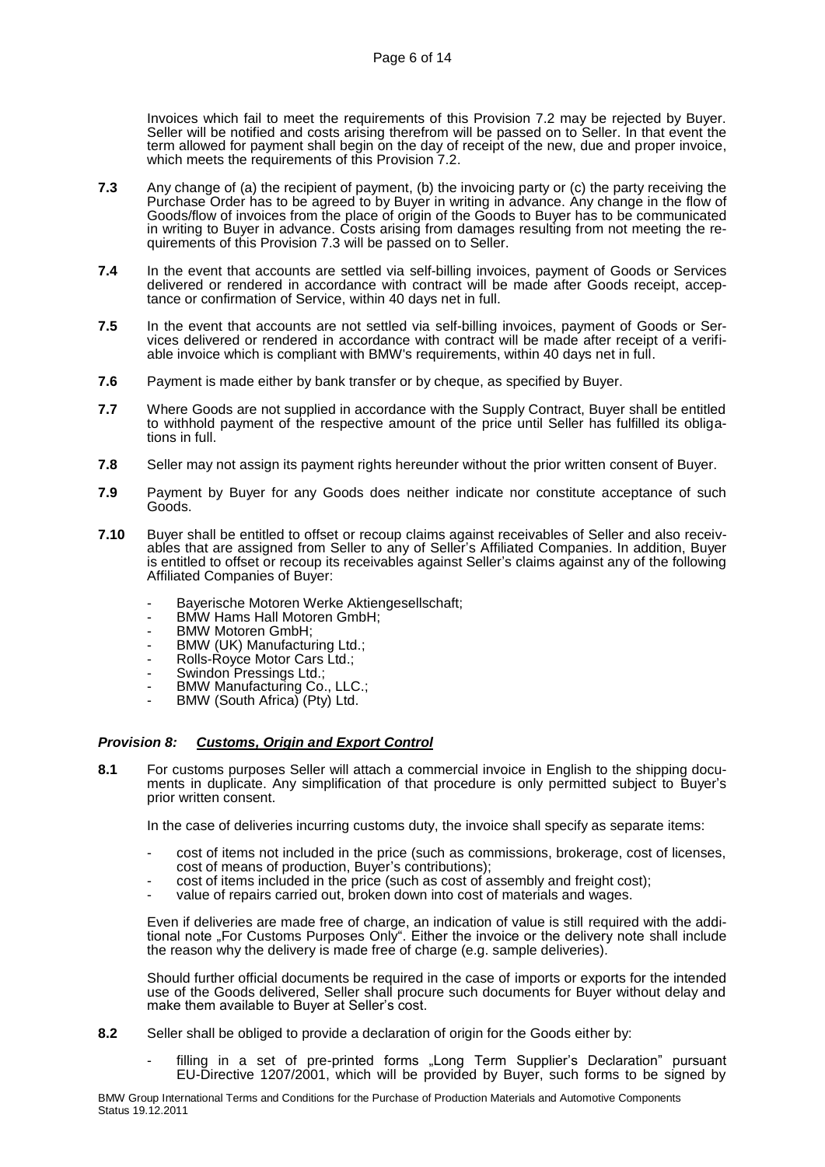Invoices which fail to meet the requirements of this Provision 7.2 may be rejected by Buyer. Seller will be notified and costs arising therefrom will be passed on to Seller. In that event the term allowed for payment shall begin on the day of receipt of the new, due and proper invoice, which meets the requirements of this Provision 7.2.

- **7.3** Any change of (a) the recipient of payment, (b) the invoicing party or (c) the party receiving the Purchase Order has to be agreed to by Buyer in writing in advance. Any change in the flow of Goods/flow of invoices from the place of origin of the Goods to Buyer has to be communicated in writing to Buyer in advance. Costs arising from damages resulting from not meeting the requirements of this Provision 7.3 will be passed on to Seller.
- **7.4** In the event that accounts are settled via self-billing invoices, payment of Goods or Services delivered or rendered in accordance with contract will be made after Goods receipt, acceptance or confirmation of Service, within 40 days net in full.
- **7.5** In the event that accounts are not settled via self-billing invoices, payment of Goods or Services delivered or rendered in accordance with contract will be made after receipt of a verifiable invoice which is compliant with BMW's requirements, within 40 days net in full.
- **7.6** Payment is made either by bank transfer or by cheque, as specified by Buyer.
- **7.7** Where Goods are not supplied in accordance with the Supply Contract, Buyer shall be entitled to withhold payment of the respective amount of the price until Seller has fulfilled its obligations in full.
- **7.8** Seller may not assign its payment rights hereunder without the prior written consent of Buyer.
- **7.9** Payment by Buyer for any Goods does neither indicate nor constitute acceptance of such Goods.
- **7.10** Buyer shall be entitled to offset or recoup claims against receivables of Seller and also receivables that are assigned from Seller to any of Seller's Affiliated Companies. In addition, Buyer is entitled to offset or recoup its receivables against Seller's claims against any of the following Affiliated Companies of Buyer:
	- Bayerische Motoren Werke Aktiengesellschaft;
	- BMW Hams Hall Motoren GmbH;
	- BMW Motoren GmbH:
	- BMW (UK) Manufacturing Ltd.;
	- Rolls-Royce Motor Cars Ltd.;
	- Swindon Pressings Ltd.;
	- BMW Manufacturing Co., LLC.;
	- BMW (South Africa) (Pty) Ltd.

# *Provision 8: Customs, Origin and Export Control*

**8.1** For customs purposes Seller will attach a commercial invoice in English to the shipping documents in duplicate. Any simplification of that procedure is only permitted subject to Buyer's prior written consent.

In the case of deliveries incurring customs duty, the invoice shall specify as separate items:

- cost of items not included in the price (such as commissions, brokerage, cost of licenses, cost of means of production, Buyer's contributions);
- cost of items included in the price (such as cost of assembly and freight cost);
- value of repairs carried out, broken down into cost of materials and wages.

Even if deliveries are made free of charge, an indication of value is still required with the additional note "For Customs Purposes Only". Either the invoice or the delivery note shall include the reason why the delivery is made free of charge (e.g. sample deliveries).

Should further official documents be required in the case of imports or exports for the intended use of the Goods delivered, Seller shall procure such documents for Buyer without delay and make them available to Buyer at Seller's cost.

- **8.2** Seller shall be obliged to provide a declaration of origin for the Goods either by:
	- filling in a set of pre-printed forms "Long Term Supplier's Declaration" pursuant EU-Directive 1207/2001, which will be provided by Buyer, such forms to be signed by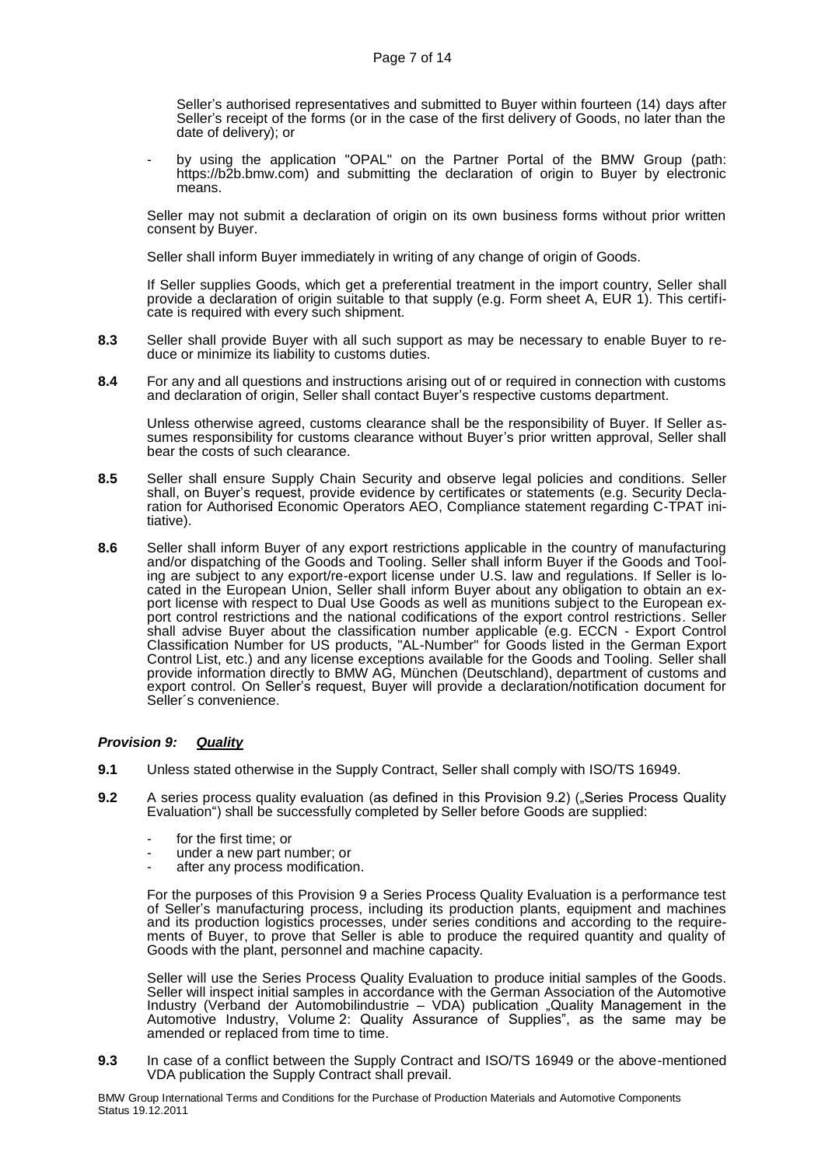Seller's authorised representatives and submitted to Buyer within fourteen (14) days after Seller's receipt of the forms (or in the case of the first delivery of Goods, no later than the date of delivery); or

by using the application "OPAL" on the Partner Portal of the BMW Group (path: https://b2b.bmw.com) and submitting the declaration of origin to Buyer by electronic means.

Seller may not submit a declaration of origin on its own business forms without prior written consent by Buyer.

Seller shall inform Buyer immediately in writing of any change of origin of Goods.

If Seller supplies Goods, which get a preferential treatment in the import country, Seller shall provide a declaration of origin suitable to that supply (e.g. Form sheet A, EUR 1). This certificate is required with every such shipment.

- **8.3** Seller shall provide Buyer with all such support as may be necessary to enable Buyer to reduce or minimize its liability to customs duties.
- **8.4** For any and all questions and instructions arising out of or required in connection with customs and declaration of origin, Seller shall contact Buyer's respective customs department.

Unless otherwise agreed, customs clearance shall be the responsibility of Buyer. If Seller assumes responsibility for customs clearance without Buyer's prior written approval, Seller shall bear the costs of such clearance.

- **8.5** Seller shall ensure Supply Chain Security and observe legal policies and conditions. Seller shall, on Buyer's request, provide evidence by certificates or statements (e.g. Security Declaration for Authorised Economic Operators AEO, Compliance statement regarding C-TPAT initiative).
- **8.6** Seller shall inform Buyer of any export restrictions applicable in the country of manufacturing and/or dispatching of the Goods and Tooling. Seller shall inform Buyer if the Goods and Tooling are subject to any export/re-export license under U.S. law and regulations. If Seller is located in the European Union, Seller shall inform Buyer about any obligation to obtain an export license with respect to Dual Use Goods as well as munitions subject to the European export control restrictions and the national codifications of the export control restrictions. Seller shall advise Buyer about the classification number applicable (e.g. ECCN - Export Control Classification Number for US products, "AL-Number" for Goods listed in the German Export Control List, etc.) and any license exceptions available for the Goods and Tooling. Seller shall provide information directly to BMW AG, München (Deutschland), department of customs and export control. On Seller's request, Buyer will provide a declaration/notification document for Seller´s convenience.

# *Provision 9: Quality*

- **9.1** Unless stated otherwise in the Supply Contract, Seller shall comply with ISO/TS 16949.
- **9.2** A series process quality evaluation (as defined in this Provision 9.2) ("Series Process Quality Evaluation") shall be successfully completed by Seller before Goods are supplied:
	- for the first time; or
	- under a new part number; or
	- after any process modification.

For the purposes of this Provision 9 a Series Process Quality Evaluation is a performance test of Seller's manufacturing process, including its production plants, equipment and machines and its production logistics processes, under series conditions and according to the requirements of Buyer, to prove that Seller is able to produce the required quantity and quality of Goods with the plant, personnel and machine capacity.

Seller will use the Series Process Quality Evaluation to produce initial samples of the Goods. Seller will inspect initial samples in accordance with the German Association of the Automotive Industry (Verband der Automobilindustrie – VDA) publication "Quality Management in the Automotive Industry, Volume 2: Quality Assurance of Supplies", as the same may be amended or replaced from time to time.

**9.3** In case of a conflict between the Supply Contract and ISO/TS 16949 or the above-mentioned VDA publication the Supply Contract shall prevail.

BMW Group International Terms and Conditions for the Purchase of Production Materials and Automotive Components Status 19.12.2011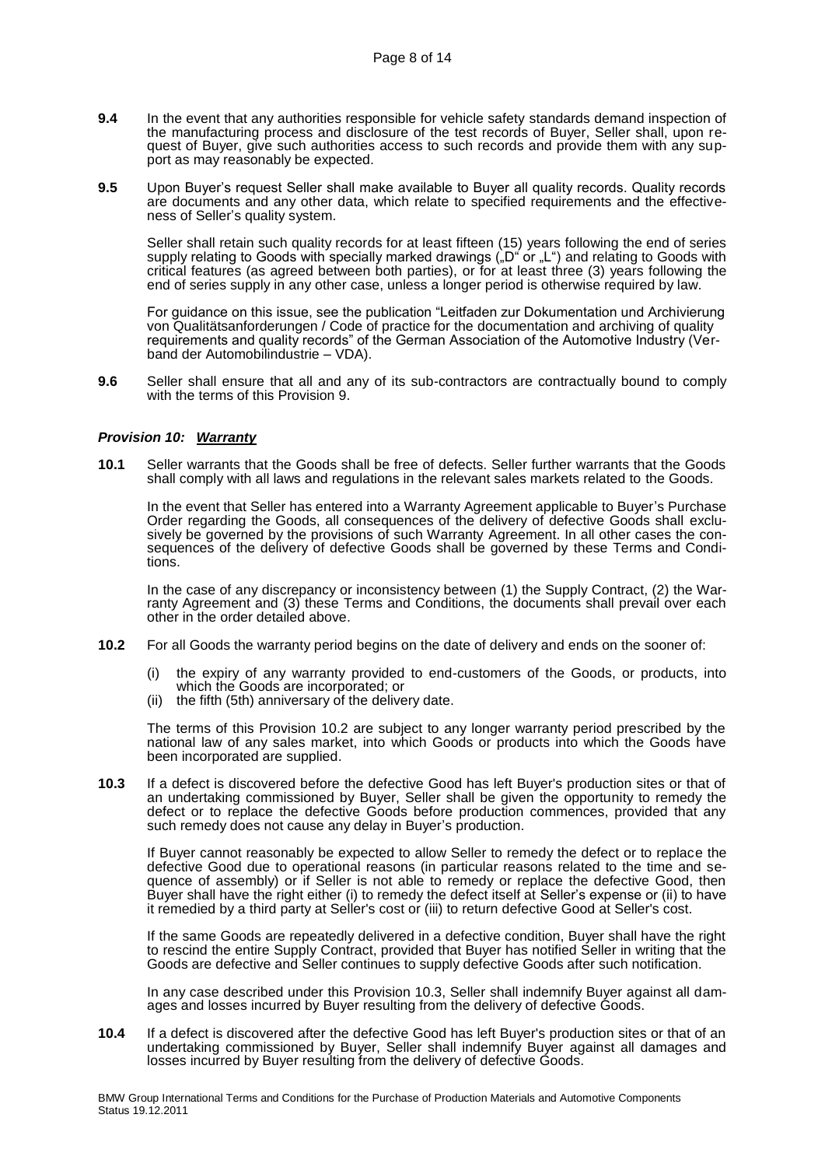- **9.4** In the event that any authorities responsible for vehicle safety standards demand inspection of the manufacturing process and disclosure of the test records of Buyer, Seller shall, upon request of Buyer, give such authorities access to such records and provide them with any support as may reasonably be expected.
- **9.5** Upon Buyer's request Seller shall make available to Buyer all quality records. Quality records are documents and any other data, which relate to specified requirements and the effectiveness of Seller's quality system.

Seller shall retain such quality records for at least fifteen (15) years following the end of series supply relating to Goods with specially marked drawings  $\zeta_{n}D^{n}$  or  ${}_{n}L^{n}$ ) and relating to Goods with critical features (as agreed between both parties), or for at least three (3) years following the end of series supply in any other case, unless a longer period is otherwise required by law.

For guidance on this issue, see the publication "Leitfaden zur Dokumentation und Archivierung von Qualitätsanforderungen / Code of practice for the documentation and archiving of quality requirements and quality records" of the German Association of the Automotive Industry (Verband der Automobilindustrie – VDA).

**9.6** Seller shall ensure that all and any of its sub-contractors are contractually bound to comply with the terms of this Provision 9.

#### *Provision 10: Warranty*

**10.1** Seller warrants that the Goods shall be free of defects. Seller further warrants that the Goods shall comply with all laws and regulations in the relevant sales markets related to the Goods.

In the event that Seller has entered into a Warranty Agreement applicable to Buyer's Purchase Order regarding the Goods, all consequences of the delivery of defective Goods shall exclusively be governed by the provisions of such Warranty Agreement. In all other cases the consequences of the delivery of defective Goods shall be governed by these Terms and Conditions.

In the case of any discrepancy or inconsistency between (1) the Supply Contract, (2) the Warranty Agreement and (3) these Terms and Conditions, the documents shall prevail over each other in the order detailed above.

- **10.2** For all Goods the warranty period begins on the date of delivery and ends on the sooner of:
	- (i) the expiry of any warranty provided to end-customers of the Goods, or products, into which the Goods are incorporated; or
	- (ii) the fifth (5th) anniversary of the delivery date.

The terms of this Provision 10.2 are subject to any longer warranty period prescribed by the national law of any sales market, into which Goods or products into which the Goods have been incorporated are supplied.

**10.3** If a defect is discovered before the defective Good has left Buyer's production sites or that of an undertaking commissioned by Buyer, Seller shall be given the opportunity to remedy the defect or to replace the defective Goods before production commences, provided that any such remedy does not cause any delay in Buyer's production.

If Buyer cannot reasonably be expected to allow Seller to remedy the defect or to replace the defective Good due to operational reasons (in particular reasons related to the time and sequence of assembly) or if Seller is not able to remedy or replace the defective Good, then Buyer shall have the right either (i) to remedy the defect itself at Seller's expense or (ii) to have it remedied by a third party at Seller's cost or (iii) to return defective Good at Seller's cost.

If the same Goods are repeatedly delivered in a defective condition, Buyer shall have the right to rescind the entire Supply Contract, provided that Buyer has notified Seller in writing that the Goods are defective and Seller continues to supply defective Goods after such notification.

In any case described under this Provision 10.3, Seller shall indemnify Buyer against all damages and losses incurred by Buyer resulting from the delivery of defective Goods.

**10.4** If a defect is discovered after the defective Good has left Buyer's production sites or that of an undertaking commissioned by Buyer, Seller shall indemnify Buyer against all damages and losses incurred by Buyer resulting from the delivery of defective Goods.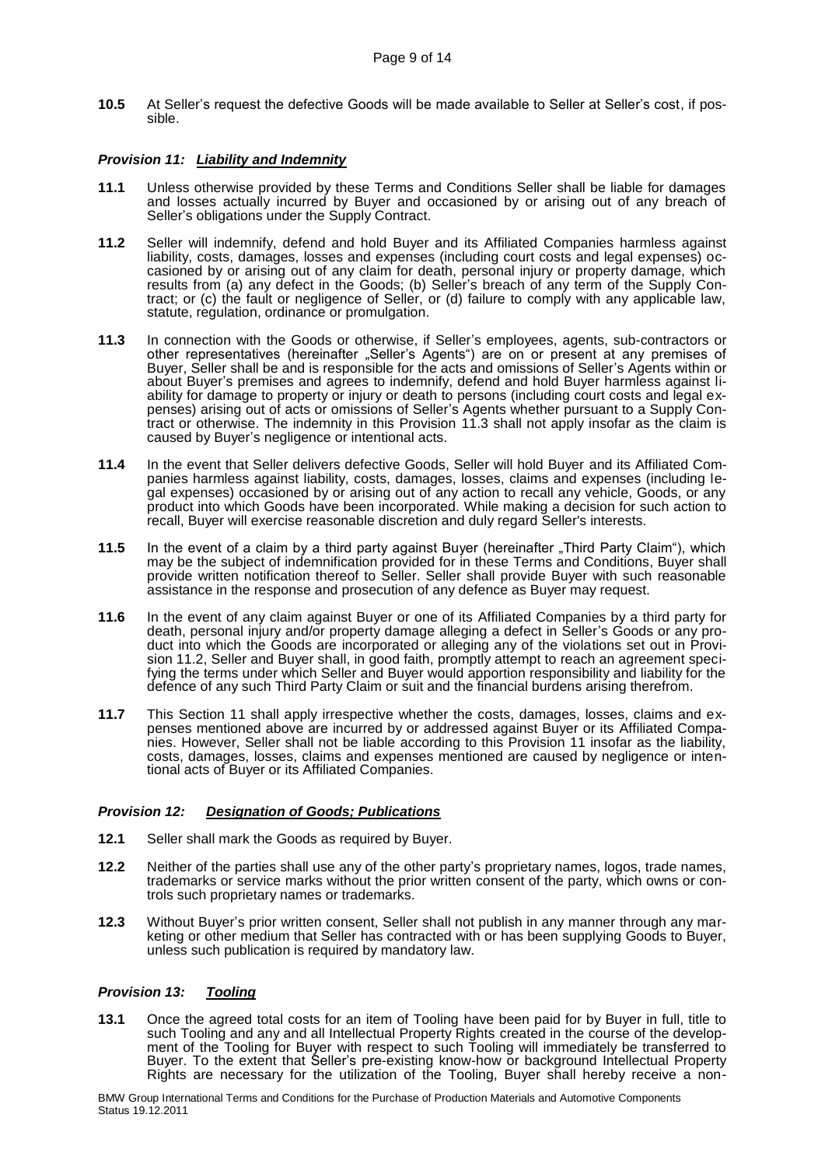**10.5** At Seller's request the defective Goods will be made available to Seller at Seller's cost, if possible.

# *Provision 11: Liability and Indemnity*

- **11.1** Unless otherwise provided by these Terms and Conditions Seller shall be liable for damages and losses actually incurred by Buyer and occasioned by or arising out of any breach of Seller's obligations under the Supply Contract.
- **11.2** Seller will indemnify, defend and hold Buyer and its Affiliated Companies harmless against liability, costs, damages, losses and expenses (including court costs and legal expenses) occasioned by or arising out of any claim for death, personal injury or property damage, which results from (a) any defect in the Goods; (b) Seller's breach of any term of the Supply Contract; or (c) the fault or negligence of Seller, or (d) failure to comply with any applicable law, statute, regulation, ordinance or promulgation.
- **11.3** In connection with the Goods or otherwise, if Seller's employees, agents, sub-contractors or other representatives (hereinafter "Seller's Agents") are on or present at any premises of Buyer, Seller shall be and is responsible for the acts and omissions of Seller's Agents within or about Buyer's premises and agrees to indemnify, defend and hold Buyer harmless against liability for damage to property or injury or death to persons (including court costs and legal expenses) arising out of acts or omissions of Seller's Agents whether pursuant to a Supply Contract or otherwise. The indemnity in this Provision 11.3 shall not apply insofar as the claim is caused by Buyer's negligence or intentional acts.
- **11.4** In the event that Seller delivers defective Goods, Seller will hold Buyer and its Affiliated Companies harmless against liability, costs, damages, losses, claims and expenses (including legal expenses) occasioned by or arising out of any action to recall any vehicle, Goods, or any product into which Goods have been incorporated. While making a decision for such action to recall, Buyer will exercise reasonable discretion and duly regard Seller's interests.
- **11.5** In the event of a claim by a third party against Buyer (hereinafter "Third Party Claim"), which may be the subject of indemnification provided for in these Terms and Conditions, Buyer shall provide written notification thereof to Seller. Seller shall provide Buyer with such reasonable assistance in the response and prosecution of any defence as Buyer may request.
- **11.6** In the event of any claim against Buyer or one of its Affiliated Companies by a third party for death, personal injury and/or property damage alleging a defect in Seller's Goods or any product into which the Goods are incorporated or alleging any of the violations set out in Provision 11.2, Seller and Buyer shall, in good faith, promptly attempt to reach an agreement specifying the terms under which Seller and Buyer would apportion responsibility and liability for the defence of any such Third Party Claim or suit and the financial burdens arising therefrom.
- **11.7** This Section 11 shall apply irrespective whether the costs, damages, losses, claims and expenses mentioned above are incurred by or addressed against Buyer or its Affiliated Companies. However, Seller shall not be liable according to this Provision 11 insofar as the liability, costs, damages, losses, claims and expenses mentioned are caused by negligence or intentional acts of Buyer or its Affiliated Companies.

#### *Provision 12: Designation of Goods; Publications*

- **12.1** Seller shall mark the Goods as required by Buyer.
- **12.2** Neither of the parties shall use any of the other party's proprietary names, logos, trade names, trademarks or service marks without the prior written consent of the party, which owns or controls such proprietary names or trademarks.
- **12.3** Without Buyer's prior written consent, Seller shall not publish in any manner through any marketing or other medium that Seller has contracted with or has been supplying Goods to Buyer, unless such publication is required by mandatory law.

# *Provision 13: Tooling*

**13.1** Once the agreed total costs for an item of Tooling have been paid for by Buyer in full, title to such Tooling and any and all Intellectual Property Rights created in the course of the development of the Tooling for Buyer with respect to such Tooling will immediately be transferred to Buyer. To the extent that Seller's pre-existing know-how or background Intellectual Property Rights are necessary for the utilization of the Tooling, Buyer shall hereby receive a non-

BMW Group International Terms and Conditions for the Purchase of Production Materials and Automotive Components Status 19.12.2011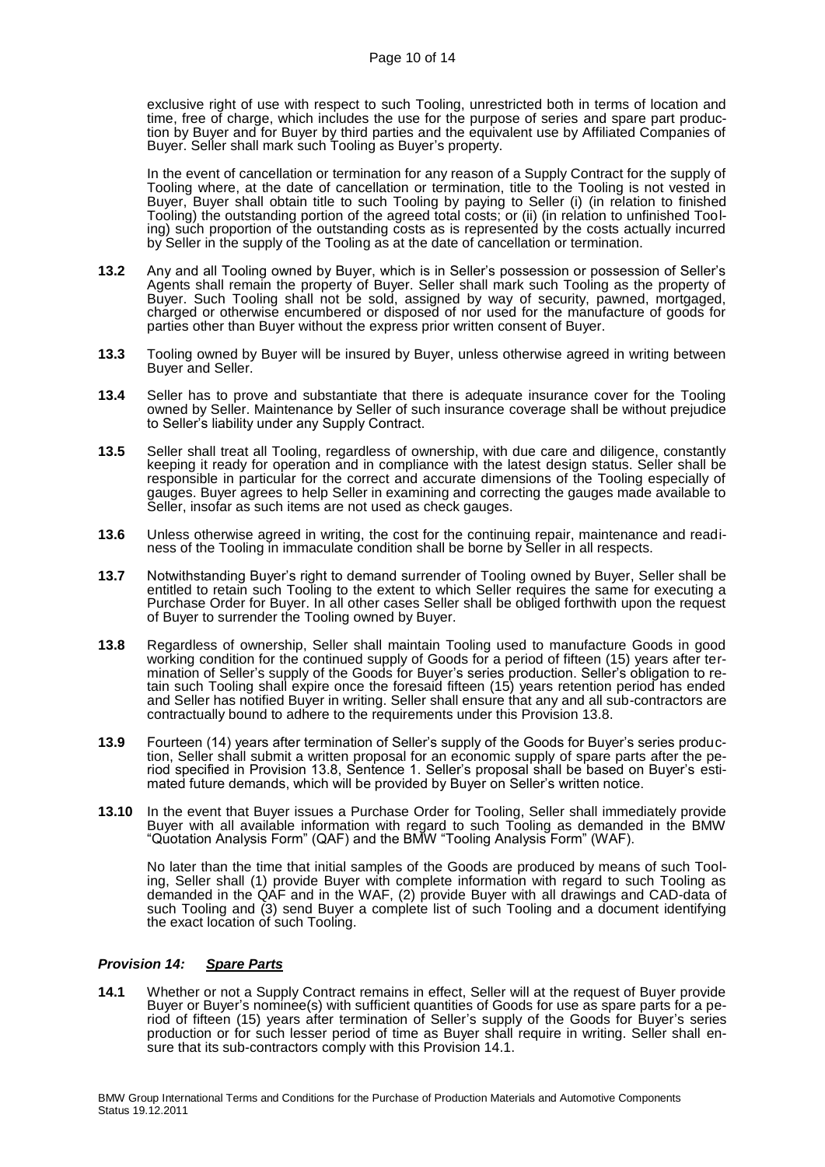exclusive right of use with respect to such Tooling, unrestricted both in terms of location and time, free of charge, which includes the use for the purpose of series and spare part production by Buyer and for Buyer by third parties and the equivalent use by Affiliated Companies of Buyer. Seller shall mark such Tooling as Buyer's property.

In the event of cancellation or termination for any reason of a Supply Contract for the supply of Tooling where, at the date of cancellation or termination, title to the Tooling is not vested in Buyer, Buyer shall obtain title to such Tooling by paying to Seller (i) (in relation to finished Tooling) the outstanding portion of the agreed total costs; or (ii) (in relation to unfinished Tooling) such proportion of the outstanding costs as is represented by the costs actually incurred by Seller in the supply of the Tooling as at the date of cancellation or termination.

- **13.2** Any and all Tooling owned by Buyer, which is in Seller's possession or possession of Seller's Agents shall remain the property of Buyer. Seller shall mark such Tooling as the property of Buyer. Such Tooling shall not be sold, assigned by way of security, pawned, mortgaged, charged or otherwise encumbered or disposed of nor used for the manufacture of goods for parties other than Buyer without the express prior written consent of Buyer.
- **13.3** Tooling owned by Buyer will be insured by Buyer, unless otherwise agreed in writing between Buyer and Seller.
- **13.4** Seller has to prove and substantiate that there is adequate insurance cover for the Tooling owned by Seller. Maintenance by Seller of such insurance coverage shall be without prejudice to Seller's liability under any Supply Contract.
- **13.5** Seller shall treat all Tooling, regardless of ownership, with due care and diligence, constantly keeping it ready for operation and in compliance with the latest design status. Seller shall be responsible in particular for the correct and accurate dimensions of the Tooling especially of gauges. Buyer agrees to help Seller in examining and correcting the gauges made available to Seller, insofar as such items are not used as check gauges.
- **13.6** Unless otherwise agreed in writing, the cost for the continuing repair, maintenance and readiness of the Tooling in immaculate condition shall be borne by Seller in all respects.
- **13.7** Notwithstanding Buyer's right to demand surrender of Tooling owned by Buyer, Seller shall be entitled to retain such Tooling to the extent to which Seller requires the same for executing a Purchase Order for Buyer. In all other cases Seller shall be obliged forthwith upon the request of Buyer to surrender the Tooling owned by Buyer.
- **13.8** Regardless of ownership, Seller shall maintain Tooling used to manufacture Goods in good working condition for the continued supply of Goods for a period of fifteen (15) years after termination of Seller's supply of the Goods for Buyer's series production. Seller's obligation to retain such Tooling shall expire once the foresaid fifteen (15) years retention period has ended and Seller has notified Buyer in writing. Seller shall ensure that any and all sub-contractors are contractually bound to adhere to the requirements under this Provision 13.8.
- **13.9** Fourteen (14) years after termination of Seller's supply of the Goods for Buyer's series production, Seller shall submit a written proposal for an economic supply of spare parts after the period specified in Provision 13.8, Sentence 1. Seller's proposal shall be based on Buyer's estimated future demands, which will be provided by Buyer on Seller's written notice.
- **13.10** In the event that Buyer issues a Purchase Order for Tooling, Seller shall immediately provide Buyer with all available information with regard to such Tooling as demanded in the BMW "Quotation Analysis Form" (QAF) and the BMW "Tooling Analysis Form" (WAF).

No later than the time that initial samples of the Goods are produced by means of such Tooling, Seller shall (1) provide Buyer with complete information with regard to such Tooling as demanded in the QAF and in the WAF, (2) provide Buyer with all drawings and CAD-data of such Tooling and (3) send Buyer a complete list of such Tooling and a document identifying the exact location of such Tooling.

## *Provision 14: Spare Parts*

**14.1** Whether or not a Supply Contract remains in effect, Seller will at the request of Buyer provide Buyer or Buyer's nominee(s) with sufficient quantities of Goods for use as spare parts for a period of fifteen (15) years after termination of Seller's supply of the Goods for Buyer's series production or for such lesser period of time as Buyer shall require in writing. Seller shall ensure that its sub-contractors comply with this Provision 14.1.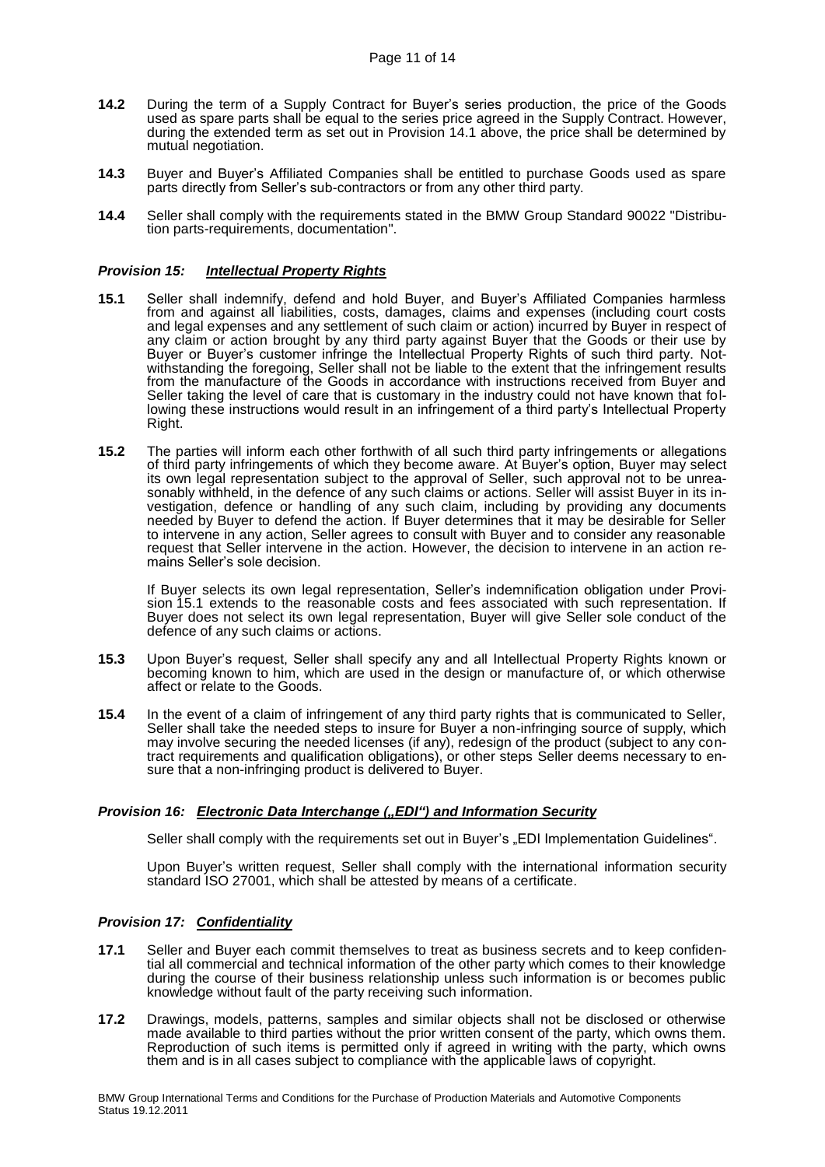- **14.2** During the term of a Supply Contract for Buyer's series production, the price of the Goods used as spare parts shall be equal to the series price agreed in the Supply Contract. However, during the extended term as set out in Provision 14.1 above, the price shall be determined by mutual negotiation.
- **14.3** Buyer and Buyer's Affiliated Companies shall be entitled to purchase Goods used as spare parts directly from Seller's sub-contractors or from any other third party.
- **14.4** Seller shall comply with the requirements stated in the BMW Group Standard 90022 "Distribution parts-requirements, documentation".

#### *Provision 15: Intellectual Property Rights*

- **15.1** Seller shall indemnify, defend and hold Buyer, and Buyer's Affiliated Companies harmless from and against all liabilities, costs, damages, claims and expenses (including court costs and legal expenses and any settlement of such claim or action) incurred by Buyer in respect of any claim or action brought by any third party against Buyer that the Goods or their use by Buyer or Buyer's customer infringe the Intellectual Property Rights of such third party. Notwithstanding the foregoing, Seller shall not be liable to the extent that the infringement results from the manufacture of the Goods in accordance with instructions received from Buyer and Seller taking the level of care that is customary in the industry could not have known that following these instructions would result in an infringement of a third party's Intellectual Property Right.
- **15.2** The parties will inform each other forthwith of all such third party infringements or allegations of third party infringements of which they become aware. At Buyer's option, Buyer may select its own legal representation subject to the approval of Seller, such approval not to be unreasonably withheld, in the defence of any such claims or actions. Seller will assist Buyer in its investigation, defence or handling of any such claim, including by providing any documents needed by Buyer to defend the action. If Buyer determines that it may be desirable for Seller to intervene in any action, Seller agrees to consult with Buyer and to consider any reasonable request that Seller intervene in the action. However, the decision to intervene in an action remains Seller's sole decision.

If Buyer selects its own legal representation, Seller's indemnification obligation under Provision 15.1 extends to the reasonable costs and fees associated with such representation. If Buyer does not select its own legal representation, Buyer will give Seller sole conduct of the defence of any such claims or actions.

- **15.3** Upon Buyer's request, Seller shall specify any and all Intellectual Property Rights known or becoming known to him, which are used in the design or manufacture of, or which otherwise affect or relate to the Goods.
- **15.4** In the event of a claim of infringement of any third party rights that is communicated to Seller, Seller shall take the needed steps to insure for Buyer a non-infringing source of supply, which may involve securing the needed licenses (if any), redesign of the product (subject to any contract requirements and qualification obligations), or other steps Seller deems necessary to ensure that a non-infringing product is delivered to Buyer.

#### *Provision 16: Electronic Data Interchange ("EDI") and Information Security*

Seller shall comply with the requirements set out in Buyer's "EDI Implementation Guidelines".

Upon Buyer's written request, Seller shall comply with the international information security standard ISO 27001, which shall be attested by means of a certificate.

#### *Provision 17: Confidentiality*

- **17.1** Seller and Buyer each commit themselves to treat as business secrets and to keep confidential all commercial and technical information of the other party which comes to their knowledge during the course of their business relationship unless such information is or becomes public knowledge without fault of the party receiving such information.
- **17.2** Drawings, models, patterns, samples and similar objects shall not be disclosed or otherwise made available to third parties without the prior written consent of the party, which owns them. Reproduction of such items is permitted only if agreed in writing with the party, which owns them and is in all cases subject to compliance with the applicable laws of copyright.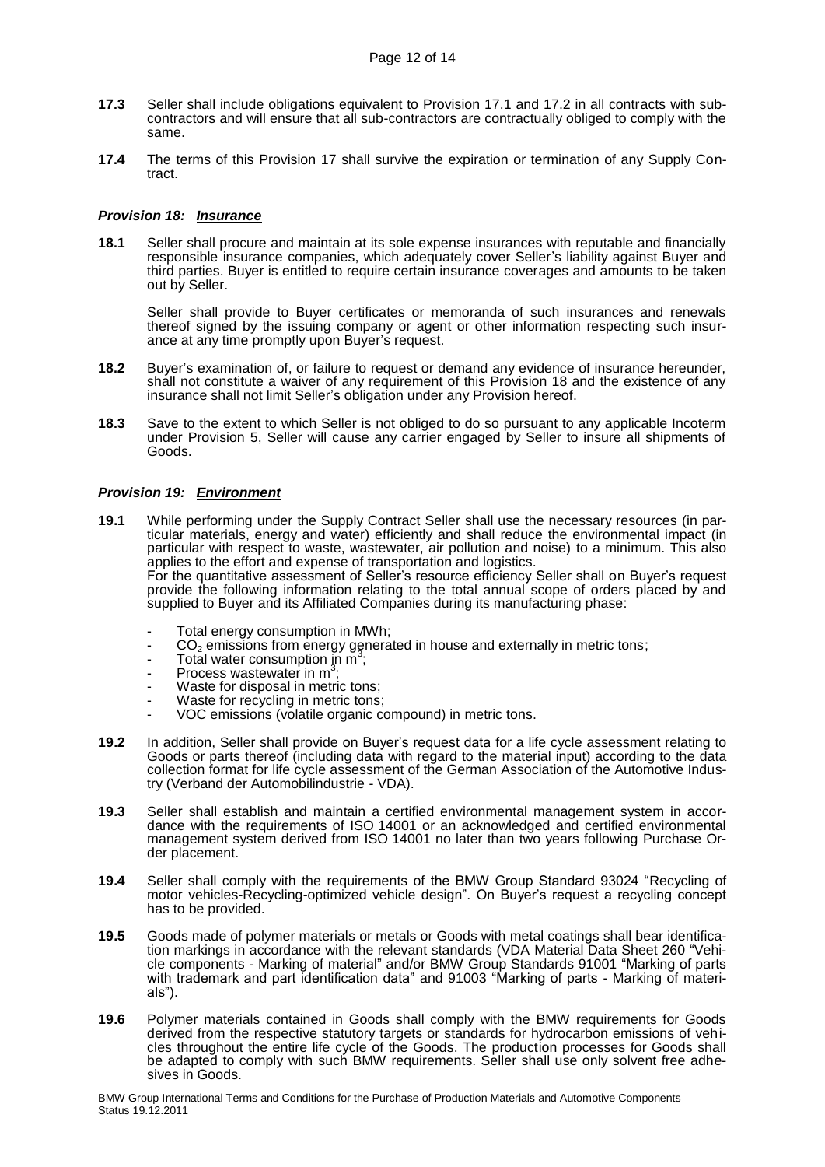- **17.3** Seller shall include obligations equivalent to Provision 17.1 and 17.2 in all contracts with subcontractors and will ensure that all sub-contractors are contractually obliged to comply with the same.
- **17.4** The terms of this Provision 17 shall survive the expiration or termination of any Supply Contract.

#### *Provision 18: Insurance*

**18.1** Seller shall procure and maintain at its sole expense insurances with reputable and financially responsible insurance companies, which adequately cover Seller's liability against Buyer and third parties. Buyer is entitled to require certain insurance coverages and amounts to be taken out by Seller.

Seller shall provide to Buyer certificates or memoranda of such insurances and renewals thereof signed by the issuing company or agent or other information respecting such insurance at any time promptly upon Buyer's request.

- **18.2** Buyer's examination of, or failure to request or demand any evidence of insurance hereunder, shall not constitute a waiver of any requirement of this Provision 18 and the existence of any insurance shall not limit Seller's obligation under any Provision hereof.
- **18.3** Save to the extent to which Seller is not obliged to do so pursuant to any applicable Incoterm under Provision 5, Seller will cause any carrier engaged by Seller to insure all shipments of Goods.

# *Provision 19: Environment*

- **19.1** While performing under the Supply Contract Seller shall use the necessary resources (in particular materials, energy and water) efficiently and shall reduce the environmental impact (in particular with respect to waste, wastewater, air pollution and noise) to a minimum. This also applies to the effort and expense of transportation and logistics. For the quantitative assessment of Seller's resource efficiency Seller shall on Buyer's request provide the following information relating to the total annual scope of orders placed by and supplied to Buyer and its Affiliated Companies during its manufacturing phase:
	- Total energy consumption in MWh;
	- $CO<sub>2</sub>$  emissions from energy generated in house and externally in metric tons;
	- $\overline{1}$  Total water consumption in m<sup>3</sup>;
	- Process wastewater in m<sup>3</sup>;
	- Waste for disposal in metric tons;
	- Waste for recycling in metric tons;
	- VOC emissions (volatile organic compound) in metric tons.
- **19.2** In addition, Seller shall provide on Buyer's request data for a life cycle assessment relating to Goods or parts thereof (including data with regard to the material input) according to the data collection format for life cycle assessment of the German Association of the Automotive Industry (Verband der Automobilindustrie - VDA).
- **19.3** Seller shall establish and maintain a certified environmental management system in accordance with the requirements of ISO 14001 or an acknowledged and certified environmental management system derived from ISO 14001 no later than two years following Purchase Order placement.
- **19.4** Seller shall comply with the requirements of the BMW Group Standard 93024 "Recycling of motor vehicles-Recycling-optimized vehicle design". On Buyer's request a recycling concept has to be provided.
- **19.5** Goods made of polymer materials or metals or Goods with metal coatings shall bear identification markings in accordance with the relevant standards (VDA Material Data Sheet 260 "Vehicle components - Marking of material" and/or BMW Group Standards 91001 "Marking of parts with trademark and part identification data" and 91003 "Marking of parts - Marking of materials").
- **19.6** Polymer materials contained in Goods shall comply with the BMW requirements for Goods derived from the respective statutory targets or standards for hydrocarbon emissions of vehicles throughout the entire life cycle of the Goods. The production processes for Goods shall be adapted to comply with such BMW requirements. Seller shall use only solvent free adhesives in Goods.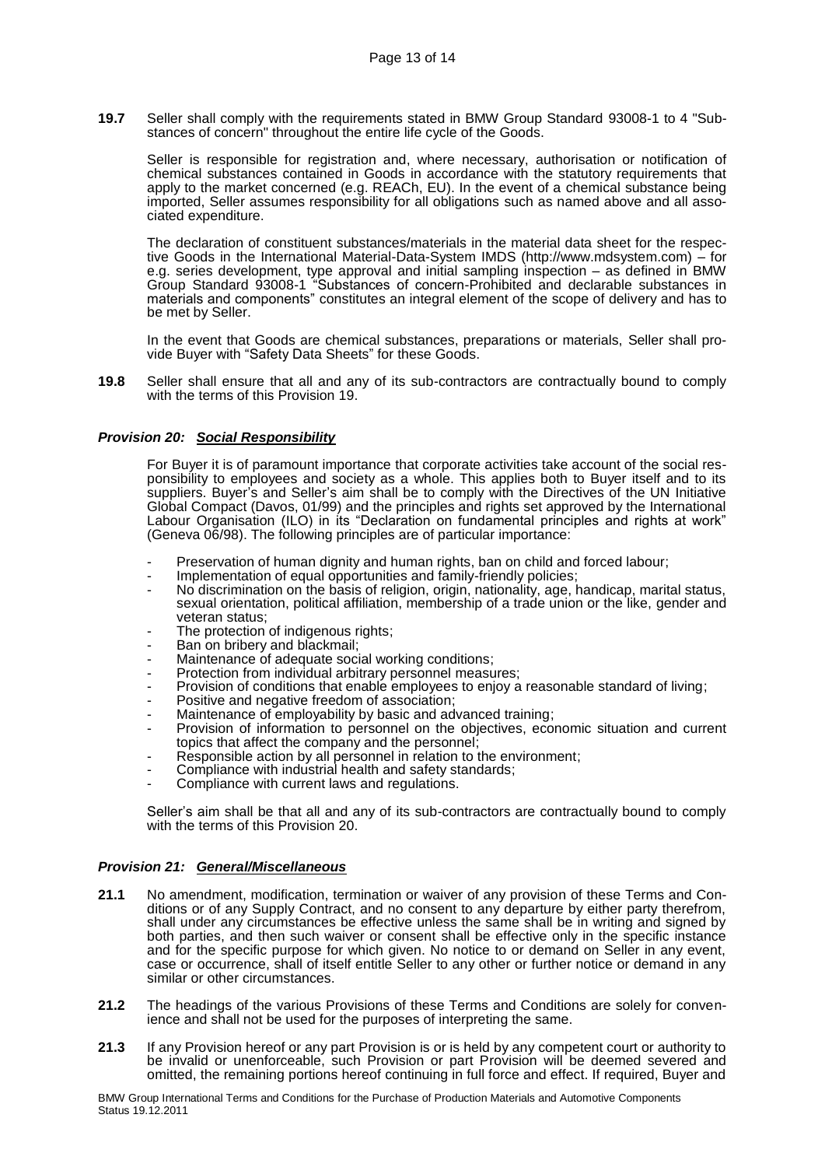**19.7** Seller shall comply with the requirements stated in BMW Group Standard 93008-1 to 4 "Substances of concern" throughout the entire life cycle of the Goods.

Seller is responsible for registration and, where necessary, authorisation or notification of chemical substances contained in Goods in accordance with the statutory requirements that apply to the market concerned (e.g. REACh, EU). In the event of a chemical substance being imported, Seller assumes responsibility for all obligations such as named above and all associated expenditure.

The declaration of constituent substances/materials in the material data sheet for the respective Goods in the International Material-Data-System IMDS (http://www.mdsystem.com) – for e.g. series development, type approval and initial sampling inspection – as defined in BMW Group Standard 93008-1 "Substances of concern-Prohibited and declarable substances in materials and components" constitutes an integral element of the scope of delivery and has to be met by Seller.

In the event that Goods are chemical substances, preparations or materials, Seller shall provide Buyer with "Safety Data Sheets" for these Goods.

**19.8** Seller shall ensure that all and any of its sub-contractors are contractually bound to comply with the terms of this Provision 19.

#### *Provision 20: Social Responsibility*

For Buyer it is of paramount importance that corporate activities take account of the social responsibility to employees and society as a whole. This applies both to Buyer itself and to its suppliers. Buyer's and Seller's aim shall be to comply with the Directives of the UN Initiative Global Compact (Davos, 01/99) and the principles and rights set approved by the International Labour Organisation (ILO) in its "Declaration on fundamental principles and rights at work" (Geneva 06/98). The following principles are of particular importance:

- Preservation of human dignity and human rights, ban on child and forced labour;
- Incocreation of equal opportunities and family-friendly policies;
- No discrimination on the basis of religion, origin, nationality, age, handicap, marital status, sexual orientation, political affiliation, membership of a trade union or the like, gender and veteran status;
- The protection of indigenous rights;
- Ban on bribery and blackmail;
- Maintenance of adequate social working conditions;
- Protection from individual arbitrary personnel measures;
- Provision of conditions that enable employees to enjoy a reasonable standard of living;
- Positive and negative freedom of association;
- Maintenance of employability by basic and advanced training;
- Provision of information to personnel on the objectives, economic situation and current topics that affect the company and the personnel;
- Responsible action by all personnel in relation to the environment;
- Compliance with industrial health and safety standards;
- Compliance with current laws and regulations.

Seller's aim shall be that all and any of its sub-contractors are contractually bound to comply with the terms of this Provision 20.

#### *Provision 21: General/Miscellaneous*

- **21.1** No amendment, modification, termination or waiver of any provision of these Terms and Conditions or of any Supply Contract, and no consent to any departure by either party therefrom, shall under any circumstances be effective unless the same shall be in writing and signed by both parties, and then such waiver or consent shall be effective only in the specific instance and for the specific purpose for which given. No notice to or demand on Seller in any event, case or occurrence, shall of itself entitle Seller to any other or further notice or demand in any similar or other circumstances.
- **21.2** The headings of the various Provisions of these Terms and Conditions are solely for convenience and shall not be used for the purposes of interpreting the same.
- **21.3** If any Provision hereof or any part Provision is or is held by any competent court or authority to be invalid or unenforceable, such Provision or part Provision will be deemed severed and omitted, the remaining portions hereof continuing in full force and effect. If required, Buyer and